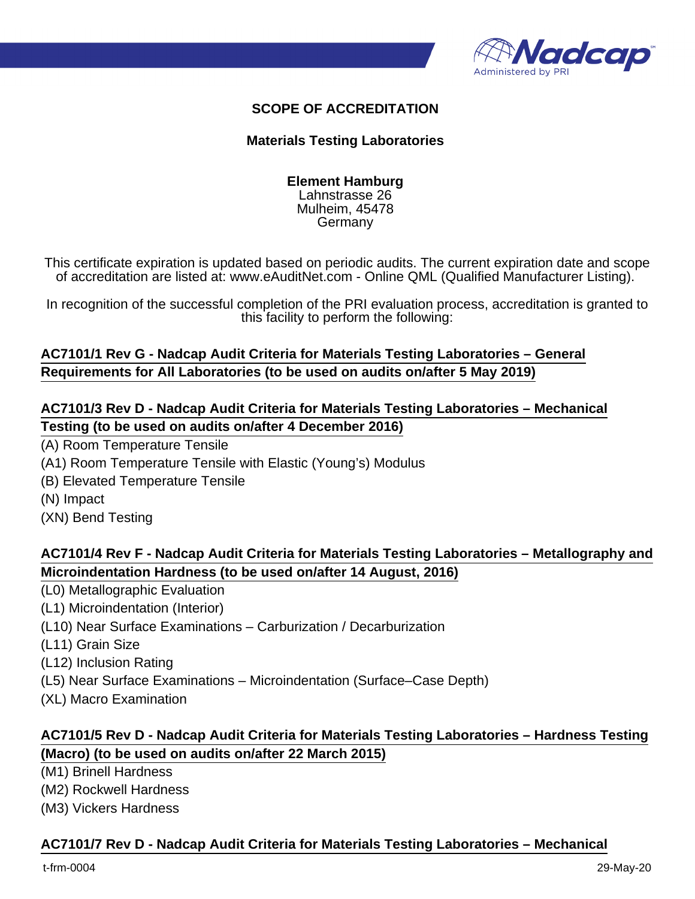

## **SCOPE OF ACCREDITATION**

#### **Materials Testing Laboratories**

#### **Element Hamburg** Lahnstrasse 26 Mulheim, 45478 Germany

This certificate expiration is updated based on periodic audits. The current expiration date and scope of accreditation are listed at: www.eAuditNet.com - Online QML (Qualified Manufacturer Listing).

In recognition of the successful completion of the PRI evaluation process, accreditation is granted to this facility to perform the following:

# **AC7101/1 Rev G - Nadcap Audit Criteria for Materials Testing Laboratories – General Requirements for All Laboratories (to be used on audits on/after 5 May 2019)**

### **AC7101/3 Rev D - Nadcap Audit Criteria for Materials Testing Laboratories – Mechanical Testing (to be used on audits on/after 4 December 2016)**

(A) Room Temperature Tensile

(A1) Room Temperature Tensile with Elastic (Young's) Modulus

- (B) Elevated Temperature Tensile
- (N) Impact
- (XN) Bend Testing

## **AC7101/4 Rev F - Nadcap Audit Criteria for Materials Testing Laboratories – Metallography and Microindentation Hardness (to be used on/after 14 August, 2016)**

- (L0) Metallographic Evaluation
- (L1) Microindentation (Interior)
- (L10) Near Surface Examinations Carburization / Decarburization
- (L11) Grain Size

(L12) Inclusion Rating

- (L5) Near Surface Examinations Microindentation (Surface–Case Depth)
- (XL) Macro Examination

# **AC7101/5 Rev D - Nadcap Audit Criteria for Materials Testing Laboratories – Hardness Testing (Macro) (to be used on audits on/after 22 March 2015)**

(M1) Brinell Hardness

(M2) Rockwell Hardness

(M3) Vickers Hardness

#### **AC7101/7 Rev D - Nadcap Audit Criteria for Materials Testing Laboratories – Mechanical**